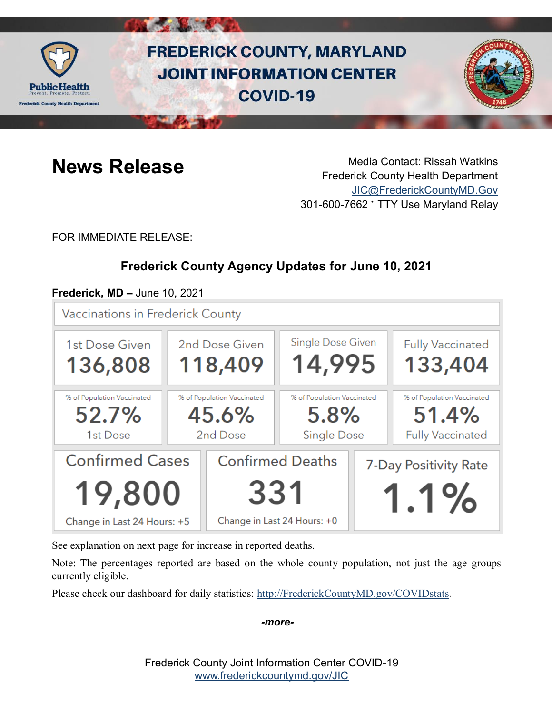

# **FREDERICK COUNTY, MARYLAND JOINT INFORMATION CENTER COVID-19**



**News Release** Media Contact: Rissah Watkins Frederick County Health Department [JIC@FrederickCountyMD.Gov](mailto:JIC@FrederickCountyMD.Gov) 301-600-7662 • TTY Use Maryland Relay

FOR IMMEDIATE RELEASE:

# **Frederick County Agency Updates for June 10, 2021**

### **Frederick, MD –** June 10, 2021

**Vaccinations in Frederick County** 



See explanation on next page for increase in reported deaths.

Note: The percentages reported are based on the whole county population, not just the age groups currently eligible.

Please check our dashboard for daily statistics: [http://FrederickCountyMD.gov/COVIDstats.](http://frederickcountymd.gov/COVIDstats)

*-more-*

Frederick County Joint Information Center COVID-19 [www.frederickcountymd.gov/JIC](https://frederickcountymd.gov/JIC)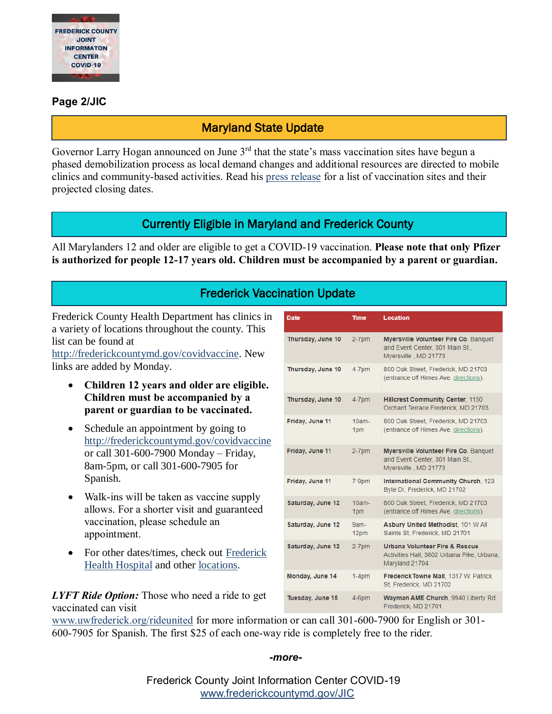

#### **Page 2/JIC**

## Maryland State Update

Governor Larry Hogan announced on June 3<sup>rd</sup> that the state's mass vaccination sites have begun a phased demobilization process as local demand changes and additional resources are directed to mobile clinics and community-based activities. Read his [press release](https://governor.maryland.gov/2021/06/03/governor-hogan-announces-phased-demobilization-of-mass-vaccination-sites/) for a list of vaccination sites and their projected closing dates.

### Currently Eligible in Maryland and Frederick County

All Marylanders 12 and older are eligible to get a COVID-19 vaccination. **Please note that only Pfizer is authorized for people 12-17 years old. Children must be accompanied by a parent or guardian.**

### Frederick Vaccination Update

Date

Frederick County Health Department has clinics in a variety of locations throughout the county. This list can be found at

[http://frederickcountymd.gov/covidvaccine.](https://health.frederickcountymd.gov/629/COVID-19-Vaccine) New links are added by Monday.

- **Children 12 years and older are eligible. Children must be accompanied by a parent or guardian to be vaccinated.**
- Schedule an appointment by going to [http://frederickcountymd.gov/covidvaccine](https://health.frederickcountymd.gov/629/COVID-19-Vaccine) or call 301-600-7900 Monday – Friday, 8am-5pm, or call 301-600-7905 for Spanish.
- Walk-ins will be taken as vaccine supply allows. For a shorter visit and guaranteed vaccination, please schedule an appointment.
- For other dates/times, check out Frederick [Health Hospital](https://www.frederickhealth.org/patients-visitors/coronavirus-covid-19-/schedule-your-covid-19-vaccine/) and other [locations.](https://www.marylandvax.org/appointment/en/clinic/search)

Thursday, June 10  $2-7$ pm Myersville Volunteer Fire Co. Banquet and Event Center, 301 Main St., Mversville . MD 21773 Thursday, June 10 800 Oak Street, Frederick, MD 21703  $4-7$ pm (entrance off Himes Ave. directions). Thursday, June 10 **Hillcrest Community Center, 1150**  $4-7$ pm Orchard Terrace Frederick, MD 21703 Friday, June 11  $10am -$ 800 Oak Street, Frederick, MD 21703 (entrance off Himes Ave, directions). 1pm Friday, June 11 Myersville Volunteer Fire Co. Banquet  $2-7$ pm and Event Center, 301 Main St., Myersville, MD 21773 Friday, June 11 International Community Church, 123 7-9pm Byte Dr. Frederick, MD 21702 Saturday, June 12  $10am-$ 800 Oak Street, Frederick, MD 21703 (entrance off Himes Ave. directions). 1pm Saturday, June 12  $9am-$ Asbury United Methodist, 101 W All 12pm Saints St, Frederick, MD 21701 Saturday, June 12  $2-7$ pm Urbana Volunteer Fire & Rescue Activities Hall, 3602 Urbana Pike, Urbana. Maryland 21704 Monday, June 14 Frederick Towne Mall, 1317 W. Patrick  $1-4<sub>pm</sub>$ St, Frederick, MD 21702 Tuesday, June 15 4-6pm Wayman AME Church, 9940 Liberty Rd, Frederick, MD 21701

Location

**Time** 

*LYFT Ride Option:* Those who need a ride to get vaccinated can visit

[www.uwfrederick.org/rideunited](http://www.uwfrederick.org/rideunited) for more information or can call 301-600-7900 for English or 301- 600-7905 for Spanish. The first \$25 of each one-way ride is completely free to the rider.

#### *-more-*